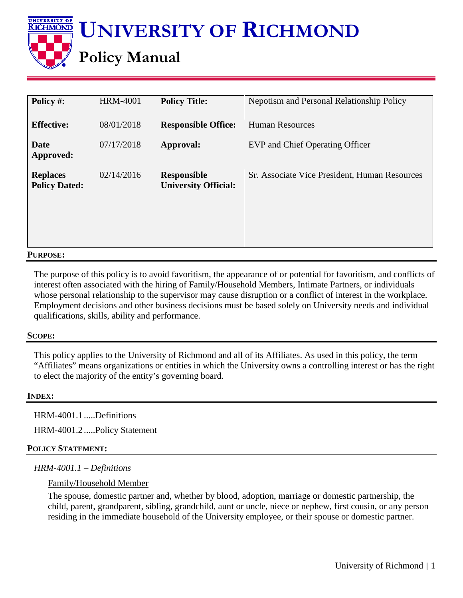**UNIVERSITY OF UNIVERSITY OF RICHMOND KICHMOND Policy Manual**

| Policy #:                               | <b>HRM-4001</b> | <b>Policy Title:</b>                              | Nepotism and Personal Relationship Policy     |
|-----------------------------------------|-----------------|---------------------------------------------------|-----------------------------------------------|
| <b>Effective:</b>                       | 08/01/2018      | <b>Responsible Office:</b>                        | <b>Human Resources</b>                        |
| Date<br>Approved:                       | 07/17/2018      | Approval:                                         | EVP and Chief Operating Officer               |
| <b>Replaces</b><br><b>Policy Dated:</b> | 02/14/2016      | <b>Responsible</b><br><b>University Official:</b> | Sr. Associate Vice President, Human Resources |

### **PURPOSE:**

The purpose of this policy is to avoid favoritism, the appearance of or potential for favoritism, and conflicts of interest often associated with the hiring of Family/Household Members, Intimate Partners, or individuals whose personal relationship to the supervisor may cause disruption or a conflict of interest in the workplace. Employment decisions and other business decisions must be based solely on University needs and individual qualifications, skills, ability and performance.

### **SCOPE:**

This policy applies to the University of Richmond and all of its Affiliates. As used in this policy, the term "Affiliates" means organizations or entities in which the University owns a controlling interest or has the right to elect the majority of the entity's governing board.

### **INDEX:**

HRM-4001.1 .....Definitions

HRM-4001.2 .....Policy Statement

## **POLICY STATEMENT:**

## *HRM-4001.1 – Definitions*

## Family/Household Member

The spouse, domestic partner and, whether by blood, adoption, marriage or domestic partnership, the child, parent, grandparent, sibling, grandchild, aunt or uncle, niece or nephew, first cousin, or any person residing in the immediate household of the University employee, or their spouse or domestic partner.